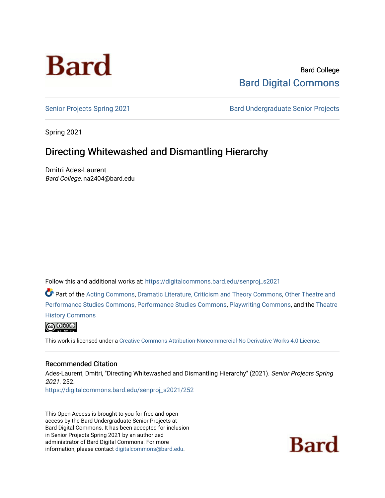

Bard College [Bard Digital Commons](https://digitalcommons.bard.edu/) 

[Senior Projects Spring 2021](https://digitalcommons.bard.edu/senproj_s2021) **Bard Undergraduate Senior Projects** 

Spring 2021

# Directing Whitewashed and Dismantling Hierarchy

Dmitri Ades-Laurent Bard College, na2404@bard.edu

Follow this and additional works at: [https://digitalcommons.bard.edu/senproj\\_s2021](https://digitalcommons.bard.edu/senproj_s2021?utm_source=digitalcommons.bard.edu%2Fsenproj_s2021%2F252&utm_medium=PDF&utm_campaign=PDFCoverPages)

Part of the [Acting Commons](http://network.bepress.com/hgg/discipline/1145?utm_source=digitalcommons.bard.edu%2Fsenproj_s2021%2F252&utm_medium=PDF&utm_campaign=PDFCoverPages), [Dramatic Literature, Criticism and Theory Commons,](http://network.bepress.com/hgg/discipline/555?utm_source=digitalcommons.bard.edu%2Fsenproj_s2021%2F252&utm_medium=PDF&utm_campaign=PDFCoverPages) [Other Theatre and](http://network.bepress.com/hgg/discipline/558?utm_source=digitalcommons.bard.edu%2Fsenproj_s2021%2F252&utm_medium=PDF&utm_campaign=PDFCoverPages) [Performance Studies Commons](http://network.bepress.com/hgg/discipline/558?utm_source=digitalcommons.bard.edu%2Fsenproj_s2021%2F252&utm_medium=PDF&utm_campaign=PDFCoverPages), [Performance Studies Commons,](http://network.bepress.com/hgg/discipline/556?utm_source=digitalcommons.bard.edu%2Fsenproj_s2021%2F252&utm_medium=PDF&utm_campaign=PDFCoverPages) [Playwriting Commons,](http://network.bepress.com/hgg/discipline/557?utm_source=digitalcommons.bard.edu%2Fsenproj_s2021%2F252&utm_medium=PDF&utm_campaign=PDFCoverPages) and the [Theatre](http://network.bepress.com/hgg/discipline/553?utm_source=digitalcommons.bard.edu%2Fsenproj_s2021%2F252&utm_medium=PDF&utm_campaign=PDFCoverPages)  [History Commons](http://network.bepress.com/hgg/discipline/553?utm_source=digitalcommons.bard.edu%2Fsenproj_s2021%2F252&utm_medium=PDF&utm_campaign=PDFCoverPages)



This work is licensed under a [Creative Commons Attribution-Noncommercial-No Derivative Works 4.0 License.](https://creativecommons.org/licenses/by-nc-nd/4.0/)

#### Recommended Citation

Ades-Laurent, Dmitri, "Directing Whitewashed and Dismantling Hierarchy" (2021). Senior Projects Spring 2021. 252.

[https://digitalcommons.bard.edu/senproj\\_s2021/252](https://digitalcommons.bard.edu/senproj_s2021/252?utm_source=digitalcommons.bard.edu%2Fsenproj_s2021%2F252&utm_medium=PDF&utm_campaign=PDFCoverPages)

This Open Access is brought to you for free and open access by the Bard Undergraduate Senior Projects at Bard Digital Commons. It has been accepted for inclusion in Senior Projects Spring 2021 by an authorized administrator of Bard Digital Commons. For more information, please contact [digitalcommons@bard.edu.](mailto:digitalcommons@bard.edu)

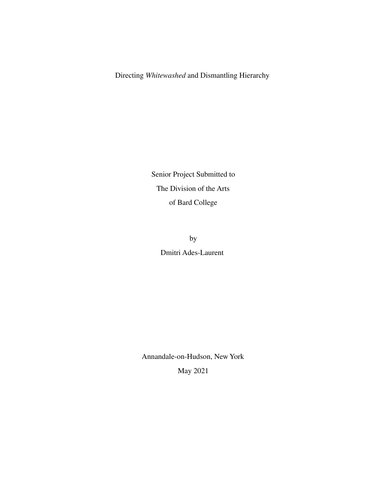Directing *Whitewashed* and Dismantling Hierarchy

Senior Project Submitted to The Division of the Arts of Bard College

> by Dmitri Ades-Laurent

Annandale-on-Hudson, New York May 2021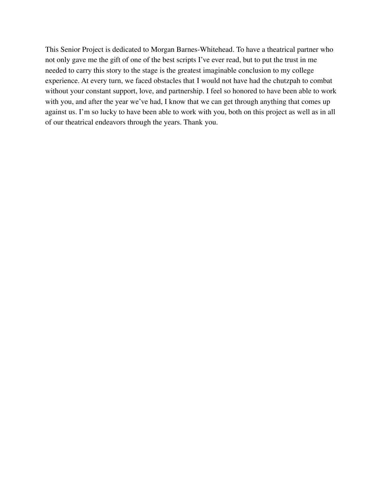This Senior Project is dedicated to Morgan Barnes-Whitehead. To have a theatrical partner who not only gave me the gift of one of the best scripts I've ever read, but to put the trust in me needed to carry this story to the stage is the greatest imaginable conclusion to my college experience. At every turn, we faced obstacles that I would not have had the chutzpah to combat without your constant support, love, and partnership. I feel so honored to have been able to work with you, and after the year we've had, I know that we can get through anything that comes up against us. I'm so lucky to have been able to work with you, both on this project as well as in all of our theatrical endeavors through the years. Thank you.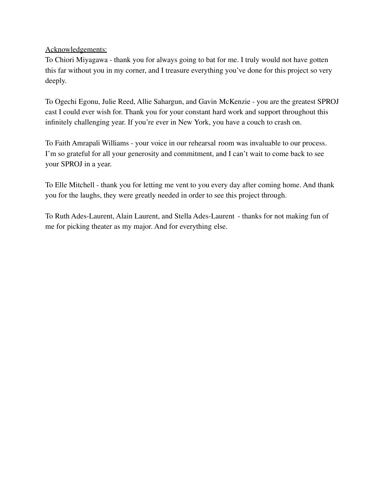Acknowledgements:

To Chiori Miyagawa - thank you for always going to bat for me. I truly would not have gotten this far without you in my corner, and I treasure everything you've done for this project so very deeply.

To Ogechi Egonu, Julie Reed, Allie Sahargun, and Gavin McKenzie - you are the greatest SPROJ cast I could ever wish for. Thank you for your constant hard work and support throughout this infinitely challenging year. If you're ever in New York, you have a couch to crash on.

To Faith Amrapali Williams - your voice in our rehearsal room was invaluable to our process. I'm so grateful for all your generosity and commitment, and I can't wait to come back to see your SPROJ in a year.

To Elle Mitchell - thank you for letting me vent to you every day after coming home. And thank you for the laughs, they were greatly needed in order to see this project through.

To Ruth Ades-Laurent, Alain Laurent, and Stella Ades-Laurent - thanks for not making fun of me for picking theater as my major. And for everything else.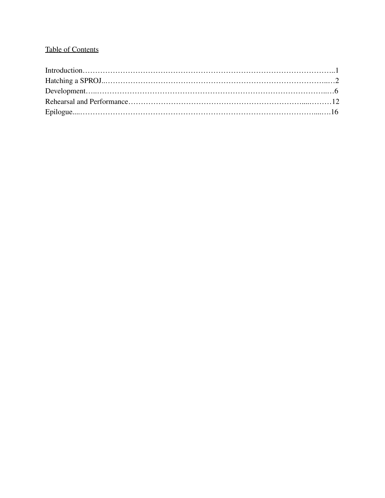# Table of Contents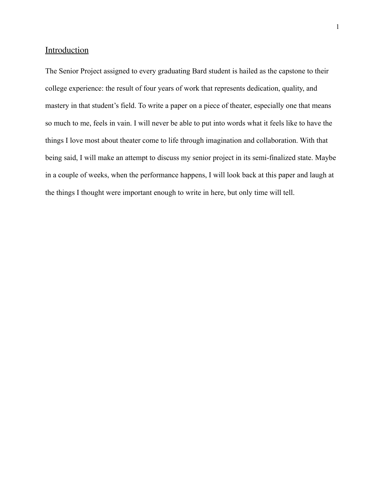# **Introduction**

The Senior Project assigned to every graduating Bard student is hailed as the capstone to their college experience: the result of four years of work that represents dedication, quality, and mastery in that student's field. To write a paper on a piece of theater, especially one that means so much to me, feels in vain. I will never be able to put into words what it feels like to have the things I love most about theater come to life through imagination and collaboration. With that being said, I will make an attempt to discuss my senior project in its semi-finalized state. Maybe in a couple of weeks, when the performance happens, I will look back at this paper and laugh at the things I thought were important enough to write in here, but only time will tell.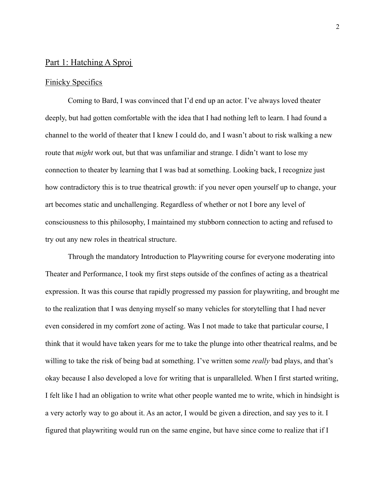## Part 1: Hatching A Sproj

#### Finicky Specifics

Coming to Bard, I was convinced that I'd end up an actor. I've always loved theater deeply, but had gotten comfortable with the idea that I had nothing left to learn. I had found a channel to the world of theater that I knew I could do, and I wasn't about to risk walking a new route that *might* work out, but that was unfamiliar and strange. I didn't want to lose my connection to theater by learning that I was bad at something. Looking back, I recognize just how contradictory this is to true theatrical growth: if you never open yourself up to change, your art becomes static and unchallenging. Regardless of whether or not I bore any level of consciousness to this philosophy, I maintained my stubborn connection to acting and refused to try out any new roles in theatrical structure.

Through the mandatory Introduction to Playwriting course for everyone moderating into Theater and Performance, I took my first steps outside of the confines of acting as a theatrical expression. It was this course that rapidly progressed my passion for playwriting, and brought me to the realization that I was denying myself so many vehicles for storytelling that I had never even considered in my comfort zone of acting. Was I not made to take that particular course, I think that it would have taken years for me to take the plunge into other theatrical realms, and be willing to take the risk of being bad at something. I've written some *really* bad plays, and that's okay because I also developed a love for writing that is unparalleled. When I first started writing, I felt like I had an obligation to write what other people wanted me to write, which in hindsight is a very actorly way to go about it. As an actor, I would be given a direction, and say yes to it. I figured that playwriting would run on the same engine, but have since come to realize that if I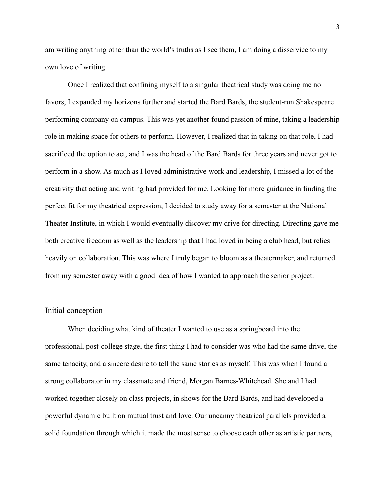am writing anything other than the world's truths as I see them, I am doing a disservice to my own love of writing.

Once I realized that confining myself to a singular theatrical study was doing me no favors, I expanded my horizons further and started the Bard Bards, the student-run Shakespeare performing company on campus. This was yet another found passion of mine, taking a leadership role in making space for others to perform. However, I realized that in taking on that role, I had sacrificed the option to act, and I was the head of the Bard Bards for three years and never got to perform in a show. As much as I loved administrative work and leadership, I missed a lot of the creativity that acting and writing had provided for me. Looking for more guidance in finding the perfect fit for my theatrical expression, I decided to study away for a semester at the National Theater Institute, in which I would eventually discover my drive for directing. Directing gave me both creative freedom as well as the leadership that I had loved in being a club head, but relies heavily on collaboration. This was where I truly began to bloom as a theatermaker, and returned from my semester away with a good idea of how I wanted to approach the senior project.

#### Initial conception

When deciding what kind of theater I wanted to use as a springboard into the professional, post-college stage, the first thing I had to consider was who had the same drive, the same tenacity, and a sincere desire to tell the same stories as myself. This was when I found a strong collaborator in my classmate and friend, Morgan Barnes-Whitehead. She and I had worked together closely on class projects, in shows for the Bard Bards, and had developed a powerful dynamic built on mutual trust and love. Our uncanny theatrical parallels provided a solid foundation through which it made the most sense to choose each other as artistic partners,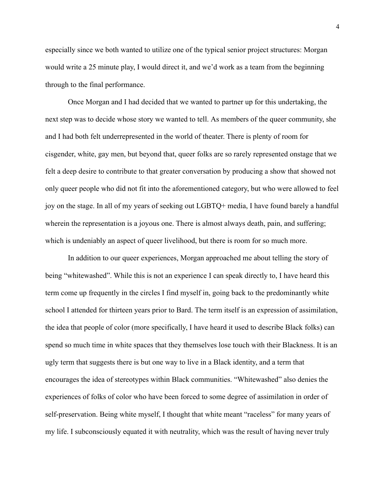especially since we both wanted to utilize one of the typical senior project structures: Morgan would write a 25 minute play, I would direct it, and we'd work as a team from the beginning through to the final performance.

Once Morgan and I had decided that we wanted to partner up for this undertaking, the next step was to decide whose story we wanted to tell. As members of the queer community, she and I had both felt underrepresented in the world of theater. There is plenty of room for cisgender, white, gay men, but beyond that, queer folks are so rarely represented onstage that we felt a deep desire to contribute to that greater conversation by producing a show that showed not only queer people who did not fit into the aforementioned category, but who were allowed to feel joy on the stage. In all of my years of seeking out LGBTQ+ media, I have found barely a handful wherein the representation is a joyous one. There is almost always death, pain, and suffering; which is undeniably an aspect of queer livelihood, but there is room for so much more.

In addition to our queer experiences, Morgan approached me about telling the story of being "whitewashed". While this is not an experience I can speak directly to, I have heard this term come up frequently in the circles I find myself in, going back to the predominantly white school I attended for thirteen years prior to Bard. The term itself is an expression of assimilation, the idea that people of color (more specifically, I have heard it used to describe Black folks) can spend so much time in white spaces that they themselves lose touch with their Blackness. It is an ugly term that suggests there is but one way to live in a Black identity, and a term that encourages the idea of stereotypes within Black communities. "Whitewashed" also denies the experiences of folks of color who have been forced to some degree of assimilation in order of self-preservation. Being white myself, I thought that white meant "raceless" for many years of my life. I subconsciously equated it with neutrality, which was the result of having never truly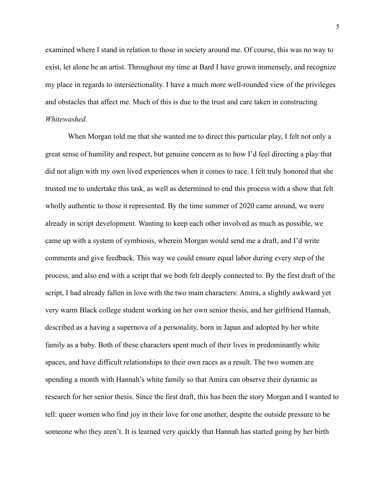examined where I stand in relation to those in society around me. Of course, this was no way to exist, let alone be an artist. Throughout my time at Bard I have grown immensely, and recognize my place in regards to intersectionality. I have a much more well-rounded view of the privileges and obstacles that affect me. Much of this is due to the trust and care taken in constructing *Whitewashed*.

When Morgan told me that she wanted me to direct this particular play, I felt not only a great sense of humility and respect, but genuine concern as to how I'd feel directing a play that did not align with my own lived experiences when it comes to race. I felt truly honored that she trusted me to undertake this task, as well as determined to end this process with a show that felt wholly authentic to those it represented. By the time summer of 2020 came around, we were already in script development. Wanting to keep each other involved as much as possible, we came up with a system of symbiosis, wherein Morgan would send me a draft, and I'd write comments and give feedback. This way we could ensure equal labor during every step of the process, and also end with a script that we both felt deeply connected to. By the first draft of the script, I had already fallen in love with the two main characters: Amira, a slightly awkward yet very warm Black college student working on her own senior thesis, and her girlfriend Hannah, described as a having a supernova of a personality, born in Japan and adopted by her white family as a baby. Both of these characters spent much of their lives in predominantly white spaces, and have difficult relationships to their own races as a result. The two women are spending a month with Hannah's white family so that Amira can observe their dynamic as research for her senior thesis. Since the first draft, this has been the story Morgan and I wanted to tell: queer women who find joy in their love for one another, despite the outside pressure to be someone who they aren't. It is learned very quickly that Hannah has started going by her birth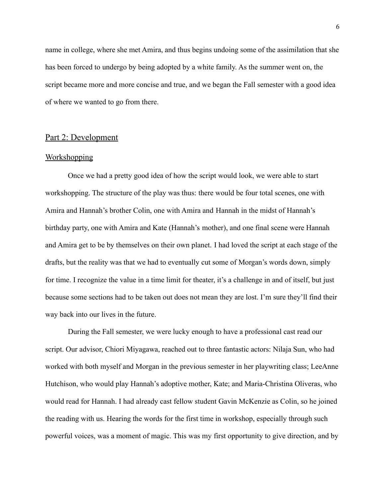name in college, where she met Amira, and thus begins undoing some of the assimilation that she has been forced to undergo by being adopted by a white family. As the summer went on, the script became more and more concise and true, and we began the Fall semester with a good idea of where we wanted to go from there.

# Part 2: Development

#### **Workshopping**

Once we had a pretty good idea of how the script would look, we were able to start workshopping. The structure of the play was thus: there would be four total scenes, one with Amira and Hannah's brother Colin, one with Amira and Hannah in the midst of Hannah's birthday party, one with Amira and Kate (Hannah's mother), and one final scene were Hannah and Amira get to be by themselves on their own planet. I had loved the script at each stage of the drafts, but the reality was that we had to eventually cut some of Morgan's words down, simply for time. I recognize the value in a time limit for theater, it's a challenge in and of itself, but just because some sections had to be taken out does not mean they are lost. I'm sure they'll find their way back into our lives in the future.

During the Fall semester, we were lucky enough to have a professional cast read our script. Our advisor, Chiori Miyagawa, reached out to three fantastic actors: Nilaja Sun, who had worked with both myself and Morgan in the previous semester in her playwriting class; LeeAnne Hutchison, who would play Hannah's adoptive mother, Kate; and Maria-Christina Oliveras, who would read for Hannah. I had already cast fellow student Gavin McKenzie as Colin, so he joined the reading with us. Hearing the words for the first time in workshop, especially through such powerful voices, was a moment of magic. This was my first opportunity to give direction, and by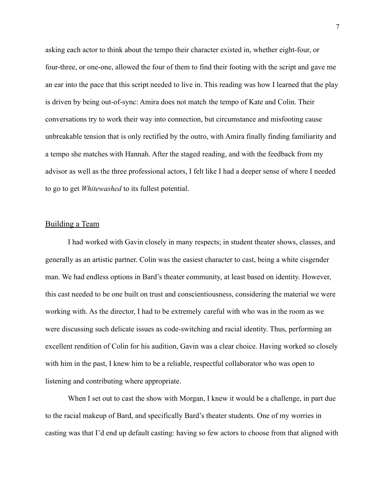asking each actor to think about the tempo their character existed in, whether eight-four, or four-three, or one-one, allowed the four of them to find their footing with the script and gave me an ear into the pace that this script needed to live in. This reading was how I learned that the play is driven by being out-of-sync: Amira does not match the tempo of Kate and Colin. Their conversations try to work their way into connection, but circumstance and misfooting cause unbreakable tension that is only rectified by the outro, with Amira finally finding familiarity and a tempo she matches with Hannah. After the staged reading, and with the feedback from my advisor as well as the three professional actors, I felt like I had a deeper sense of where I needed to go to get *Whitewashed* to its fullest potential.

## Building a Team

I had worked with Gavin closely in many respects; in student theater shows, classes, and generally as an artistic partner. Colin was the easiest character to cast, being a white cisgender man. We had endless options in Bard's theater community, at least based on identity. However, this cast needed to be one built on trust and conscientiousness, considering the material we were working with. As the director, I had to be extremely careful with who was in the room as we were discussing such delicate issues as code-switching and racial identity. Thus, performing an excellent rendition of Colin for his audition, Gavin was a clear choice. Having worked so closely with him in the past, I knew him to be a reliable, respectful collaborator who was open to listening and contributing where appropriate.

When I set out to cast the show with Morgan, I knew it would be a challenge, in part due to the racial makeup of Bard, and specifically Bard's theater students. One of my worries in casting was that I'd end up default casting: having so few actors to choose from that aligned with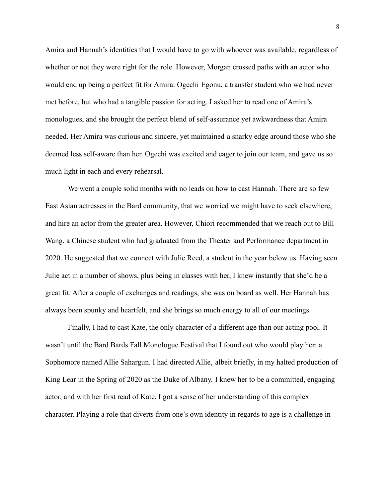Amira and Hannah's identities that I would have to go with whoever was available, regardless of whether or not they were right for the role. However, Morgan crossed paths with an actor who would end up being a perfect fit for Amira: Ogechi Egonu, a transfer student who we had never met before, but who had a tangible passion for acting. I asked her to read one of Amira's monologues, and she brought the perfect blend of self-assurance yet awkwardness that Amira needed. Her Amira was curious and sincere, yet maintained a snarky edge around those who she deemed less self-aware than her. Ogechi was excited and eager to join our team, and gave us so much light in each and every rehearsal.

We went a couple solid months with no leads on how to cast Hannah. There are so few East Asian actresses in the Bard community, that we worried we might have to seek elsewhere, and hire an actor from the greater area. However, Chiori recommended that we reach out to Bill Wang, a Chinese student who had graduated from the Theater and Performance department in 2020. He suggested that we connect with Julie Reed, a student in the year below us. Having seen Julie act in a number of shows, plus being in classes with her, I knew instantly that she'd be a great fit. After a couple of exchanges and readings, she was on board as well. Her Hannah has always been spunky and heartfelt, and she brings so much energy to all of our meetings.

Finally, I had to cast Kate, the only character of a different age than our acting pool. It wasn't until the Bard Bards Fall Monologue Festival that I found out who would play her: a Sophomore named Allie Sahargun. I had directed Allie, albeit briefly, in my halted production of King Lear in the Spring of 2020 as the Duke of Albany. I knew her to be a committed, engaging actor, and with her first read of Kate, I got a sense of her understanding of this complex character. Playing a role that diverts from one's own identity in regards to age is a challenge in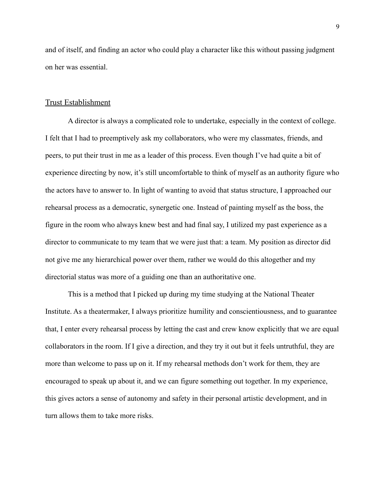and of itself, and finding an actor who could play a character like this without passing judgment on her was essential.

#### Trust Establishment

A director is always a complicated role to undertake, especially in the context of college. I felt that I had to preemptively ask my collaborators, who were my classmates, friends, and peers, to put their trust in me as a leader of this process. Even though I've had quite a bit of experience directing by now, it's still uncomfortable to think of myself as an authority figure who the actors have to answer to. In light of wanting to avoid that status structure, I approached our rehearsal process as a democratic, synergetic one. Instead of painting myself as the boss, the figure in the room who always knew best and had final say, I utilized my past experience as a director to communicate to my team that we were just that: a team. My position as director did not give me any hierarchical power over them, rather we would do this altogether and my directorial status was more of a guiding one than an authoritative one.

This is a method that I picked up during my time studying at the National Theater Institute. As a theatermaker, I always prioritize humility and conscientiousness, and to guarantee that, I enter every rehearsal process by letting the cast and crew know explicitly that we are equal collaborators in the room. If I give a direction, and they try it out but it feels untruthful, they are more than welcome to pass up on it. If my rehearsal methods don't work for them, they are encouraged to speak up about it, and we can figure something out together. In my experience, this gives actors a sense of autonomy and safety in their personal artistic development, and in turn allows them to take more risks.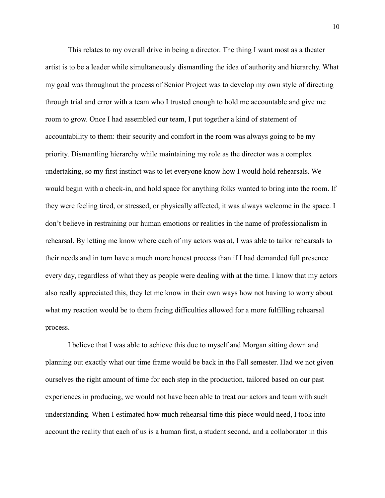This relates to my overall drive in being a director. The thing I want most as a theater artist is to be a leader while simultaneously dismantling the idea of authority and hierarchy. What my goal was throughout the process of Senior Project was to develop my own style of directing through trial and error with a team who I trusted enough to hold me accountable and give me room to grow. Once I had assembled our team, I put together a kind of statement of accountability to them: their security and comfort in the room was always going to be my priority. Dismantling hierarchy while maintaining my role as the director was a complex undertaking, so my first instinct was to let everyone know how I would hold rehearsals. We would begin with a check-in, and hold space for anything folks wanted to bring into the room. If they were feeling tired, or stressed, or physically affected, it was always welcome in the space. I don't believe in restraining our human emotions or realities in the name of professionalism in rehearsal. By letting me know where each of my actors was at, I was able to tailor rehearsals to their needs and in turn have a much more honest process than if I had demanded full presence every day, regardless of what they as people were dealing with at the time. I know that my actors also really appreciated this, they let me know in their own ways how not having to worry about what my reaction would be to them facing difficulties allowed for a more fulfilling rehearsal process.

I believe that I was able to achieve this due to myself and Morgan sitting down and planning out exactly what our time frame would be back in the Fall semester. Had we not given ourselves the right amount of time for each step in the production, tailored based on our past experiences in producing, we would not have been able to treat our actors and team with such understanding. When I estimated how much rehearsal time this piece would need, I took into account the reality that each of us is a human first, a student second, and a collaborator in this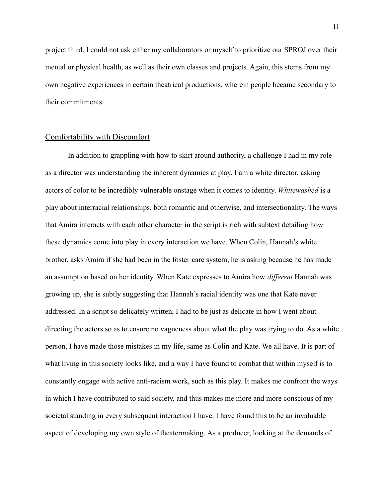project third. I could not ask either my collaborators or myself to prioritize our SPROJ over their mental or physical health, as well as their own classes and projects. Again, this stems from my own negative experiences in certain theatrical productions, wherein people became secondary to their commitments.

### Comfortability with Discomfort

In addition to grappling with how to skirt around authority, a challenge I had in my role as a director was understanding the inherent dynamics at play. I am a white director, asking actors of color to be incredibly vulnerable onstage when it comes to identity. *Whitewashed* is a play about interracial relationships, both romantic and otherwise, and intersectionality. The ways that Amira interacts with each other character in the script is rich with subtext detailing how these dynamics come into play in every interaction we have. When Colin, Hannah's white brother, asks Amira if she had been in the foster care system, he is asking because he has made an assumption based on her identity. When Kate expresses to Amira how *different* Hannah was growing up, she is subtly suggesting that Hannah's racial identity was one that Kate never addressed. In a script so delicately written, I had to be just as delicate in how I went about directing the actors so as to ensure no vagueness about what the play was trying to do. As a white person, I have made those mistakes in my life, same as Colin and Kate. We all have. It is part of what living in this society looks like, and a way I have found to combat that within myself is to constantly engage with active anti-racism work, such as this play. It makes me confront the ways in which I have contributed to said society, and thus makes me more and more conscious of my societal standing in every subsequent interaction I have. I have found this to be an invaluable aspect of developing my own style of theatermaking. As a producer, looking at the demands of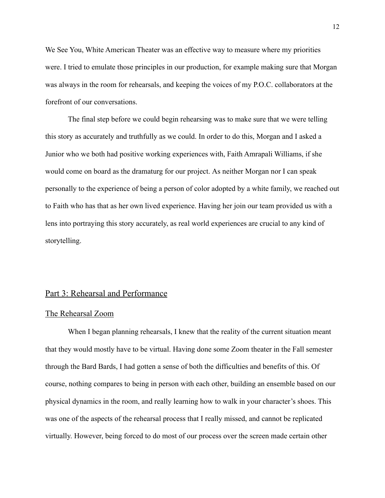We See You, White American Theater was an effective way to measure where my priorities were. I tried to emulate those principles in our production, for example making sure that Morgan was always in the room for rehearsals, and keeping the voices of my P.O.C. collaborators at the forefront of our conversations.

The final step before we could begin rehearsing was to make sure that we were telling this story as accurately and truthfully as we could. In order to do this, Morgan and I asked a Junior who we both had positive working experiences with, Faith Amrapali Williams, if she would come on board as the dramaturg for our project. As neither Morgan nor I can speak personally to the experience of being a person of color adopted by a white family, we reached out to Faith who has that as her own lived experience. Having her join our team provided us with a lens into portraying this story accurately, as real world experiences are crucial to any kind of storytelling.

### Part 3: Rehearsal and Performance

#### The Rehearsal Zoom

When I began planning rehearsals, I knew that the reality of the current situation meant that they would mostly have to be virtual. Having done some Zoom theater in the Fall semester through the Bard Bards, I had gotten a sense of both the difficulties and benefits of this. Of course, nothing compares to being in person with each other, building an ensemble based on our physical dynamics in the room, and really learning how to walk in your character's shoes. This was one of the aspects of the rehearsal process that I really missed, and cannot be replicated virtually. However, being forced to do most of our process over the screen made certain other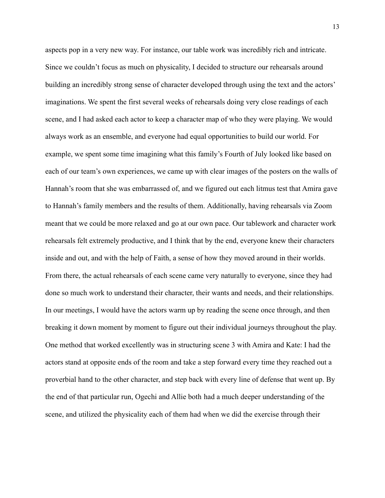aspects pop in a very new way. For instance, our table work was incredibly rich and intricate. Since we couldn't focus as much on physicality, I decided to structure our rehearsals around building an incredibly strong sense of character developed through using the text and the actors' imaginations. We spent the first several weeks of rehearsals doing very close readings of each scene, and I had asked each actor to keep a character map of who they were playing. We would always work as an ensemble, and everyone had equal opportunities to build our world. For example, we spent some time imagining what this family's Fourth of July looked like based on each of our team's own experiences, we came up with clear images of the posters on the walls of Hannah's room that she was embarrassed of, and we figured out each litmus test that Amira gave to Hannah's family members and the results of them. Additionally, having rehearsals via Zoom meant that we could be more relaxed and go at our own pace. Our tablework and character work rehearsals felt extremely productive, and I think that by the end, everyone knew their characters inside and out, and with the help of Faith, a sense of how they moved around in their worlds. From there, the actual rehearsals of each scene came very naturally to everyone, since they had done so much work to understand their character, their wants and needs, and their relationships. In our meetings, I would have the actors warm up by reading the scene once through, and then breaking it down moment by moment to figure out their individual journeys throughout the play. One method that worked excellently was in structuring scene 3 with Amira and Kate: I had the actors stand at opposite ends of the room and take a step forward every time they reached out a proverbial hand to the other character, and step back with every line of defense that went up. By the end of that particular run, Ogechi and Allie both had a much deeper understanding of the scene, and utilized the physicality each of them had when we did the exercise through their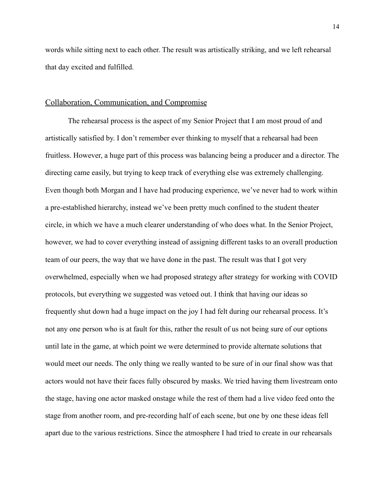words while sitting next to each other. The result was artistically striking, and we left rehearsal that day excited and fulfilled.

## Collaboration, Communication, and Compromise

The rehearsal process is the aspect of my Senior Project that I am most proud of and artistically satisfied by. I don't remember ever thinking to myself that a rehearsal had been fruitless. However, a huge part of this process was balancing being a producer and a director. The directing came easily, but trying to keep track of everything else was extremely challenging. Even though both Morgan and I have had producing experience, we've never had to work within a pre-established hierarchy, instead we've been pretty much confined to the student theater circle, in which we have a much clearer understanding of who does what. In the Senior Project, however, we had to cover everything instead of assigning different tasks to an overall production team of our peers, the way that we have done in the past. The result was that I got very overwhelmed, especially when we had proposed strategy after strategy for working with COVID protocols, but everything we suggested was vetoed out. I think that having our ideas so frequently shut down had a huge impact on the joy I had felt during our rehearsal process. It's not any one person who is at fault for this, rather the result of us not being sure of our options until late in the game, at which point we were determined to provide alternate solutions that would meet our needs. The only thing we really wanted to be sure of in our final show was that actors would not have their faces fully obscured by masks. We tried having them livestream onto the stage, having one actor masked onstage while the rest of them had a live video feed onto the stage from another room, and pre-recording half of each scene, but one by one these ideas fell apart due to the various restrictions. Since the atmosphere I had tried to create in our rehearsals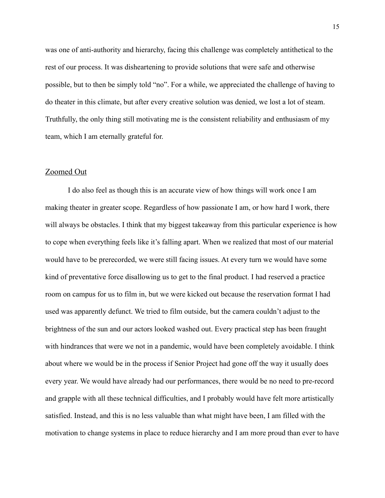was one of anti-authority and hierarchy, facing this challenge was completely antithetical to the rest of our process. It was disheartening to provide solutions that were safe and otherwise possible, but to then be simply told "no". For a while, we appreciated the challenge of having to do theater in this climate, but after every creative solution was denied, we lost a lot of steam. Truthfully, the only thing still motivating me is the consistent reliability and enthusiasm of my team, which I am eternally grateful for.

## Zoomed Out

I do also feel as though this is an accurate view of how things will work once I am making theater in greater scope. Regardless of how passionate I am, or how hard I work, there will always be obstacles. I think that my biggest takeaway from this particular experience is how to cope when everything feels like it's falling apart. When we realized that most of our material would have to be prerecorded, we were still facing issues. At every turn we would have some kind of preventative force disallowing us to get to the final product. I had reserved a practice room on campus for us to film in, but we were kicked out because the reservation format I had used was apparently defunct. We tried to film outside, but the camera couldn't adjust to the brightness of the sun and our actors looked washed out. Every practical step has been fraught with hindrances that were we not in a pandemic, would have been completely avoidable. I think about where we would be in the process if Senior Project had gone off the way it usually does every year. We would have already had our performances, there would be no need to pre-record and grapple with all these technical difficulties, and I probably would have felt more artistically satisfied. Instead, and this is no less valuable than what might have been, I am filled with the motivation to change systems in place to reduce hierarchy and I am more proud than ever to have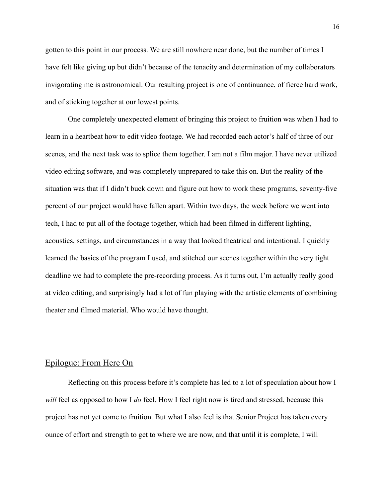gotten to this point in our process. We are still nowhere near done, but the number of times I have felt like giving up but didn't because of the tenacity and determination of my collaborators invigorating me is astronomical. Our resulting project is one of continuance, of fierce hard work, and of sticking together at our lowest points.

One completely unexpected element of bringing this project to fruition was when I had to learn in a heartbeat how to edit video footage. We had recorded each actor's half of three of our scenes, and the next task was to splice them together. I am not a film major. I have never utilized video editing software, and was completely unprepared to take this on. But the reality of the situation was that if I didn't buck down and figure out how to work these programs, seventy-five percent of our project would have fallen apart. Within two days, the week before we went into tech, I had to put all of the footage together, which had been filmed in different lighting, acoustics, settings, and circumstances in a way that looked theatrical and intentional. I quickly learned the basics of the program I used, and stitched our scenes together within the very tight deadline we had to complete the pre-recording process. As it turns out, I'm actually really good at video editing, and surprisingly had a lot of fun playing with the artistic elements of combining theater and filmed material. Who would have thought.

## Epilogue: From Here On

Reflecting on this process before it's complete has led to a lot of speculation about how I *will* feel as opposed to how I *do* feel. How I feel right now is tired and stressed, because this project has not yet come to fruition. But what I also feel is that Senior Project has taken every ounce of effort and strength to get to where we are now, and that until it is complete, I will